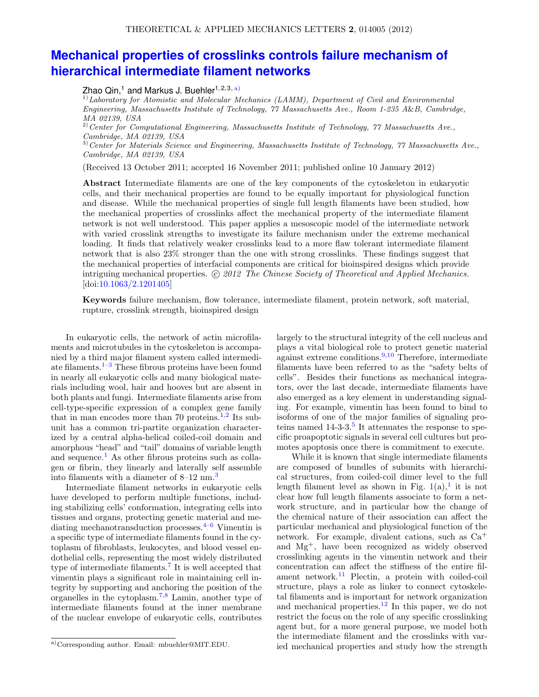## **[Mechanical properties of crosslinks controls failure mechanism of](http://dx.doi.org/10.1063/2.1201405) [hierarchical intermediate filament networks](http://dx.doi.org/10.1063/2.1201405)**

Zhao Qin,<sup>1</sup> and Markus J. Buehler<sup>1, 2, 3, [a\)](#page-0-0)</sup>

 $1)$ Laboratory for Atomistic and Molecular Mechanics (LAMM), Department of Civil and Environmental Engineering, Massachusetts Institute of Technology, 77 Massachusetts Ave., Room 1-235 A&B, Cambridge, MA 02139, USA

 $^{2)}$  Center for Computational Engineering, Massachusetts Institute of Technology, 77 Massachusetts Ave., Cambridge, MA 02139, USA

3)Center for Materials Science and Engineering, Massachusetts Institute of Technology, 77 Massachusetts Ave., Cambridge, MA 02139, USA

(Received 13 October 2011; accepted 16 November 2011; published online 10 January 2012)

Abstract Intermediate filaments are one of the key components of the cytoskeleton in eukaryotic cells, and their mechanical properties are found to be equally important for physiological function and disease. While the mechanical properties of single full length filaments have been studied, how the mechanical properties of crosslinks affect the mechanical property of the intermediate filament network is not well understood. This paper applies a mesoscopic model of the intermediate network with varied crosslink strengths to investigate its failure mechanism under the extreme mechanical loading. It finds that relatively weaker crosslinks lead to a more flaw tolerant intermediate filament network that is also 23% stronger than the one with strong crosslinks. These findings suggest that the mechanical properties of interfacial components are critical for bioinspired designs which provide intriguing mechanical properties.  $\odot$  2012 The Chinese Society of Theoretical and Applied Mechanics. [doi[:10.1063/2.1201405\]](http://dx.doi.org/10.1063/2.1201405)

Keywords failure mechanism, flow tolerance, intermediate filament, protein network, soft material, rupture, crosslink strength, bioinspired design

In eukaryotic cells, the network of actin microfilaments and microtubules in the cytoskeleton is accompanied by a third major filament system called intermediate filaments. $1-3$  $1-3$  These fibrous proteins have been found in nearly all eukaryotic cells and many biological materials including wool, hair and hooves but are absent in both plants and fungi. Intermediate filaments arise from cell-type-specific expression of a complex gene family that in man encodes more than 70 proteins.<sup>[1](#page-4-0)[,2](#page-4-2)</sup> Its subunit has a common tri-partite organization characterized by a central alpha-helical coiled-coil domain and amorphous "head" and "tail" domains of variable length and sequence.<sup>[1](#page-4-0)</sup> As other fibrous proteins such as collagen or fibrin, they linearly and laterally self assemble into filaments with a diameter of  $8-12$  nm.<sup>[3](#page-4-1)</sup>

Intermediate filament networks in eukaryotic cells have developed to perform multiple functions, including stabilizing cells' conformation, integrating cells into tissues and organs, protecting genetic material and mediating mechanotransduction processes. $4-6$  $4-6$  Vimentin is a specific type of intermediate filaments found in the cytoplasm of fibroblasts, leukocytes, and blood vessel endothelial cells, representing the most widely distributed type of intermediate filaments.[7](#page-4-5) It is well accepted that vimentin plays a significant role in maintaining cell integrity by supporting and anchoring the position of the organelles in the cytoplasm.[7,](#page-4-5)[8](#page-4-6) Lamin, another type of intermediate filaments found at the inner membrane of the nuclear envelope of eukaryotic cells, contributes largely to the structural integrity of the cell nucleus and plays a vital biological role to protect genetic material against extreme conditions.<sup>[9,](#page-4-7)[10](#page-4-8)</sup> Therefore, intermediate filaments have been referred to as the "safety belts of cells". Besides their functions as mechanical integrators, over the last decade, intermediate filaments have also emerged as a key element in understanding signaling. For example, vimentin has been found to bind to isoforms of one of the major families of signaling proteins named  $14-3-3.5$  $14-3-3.5$  It attenuates the response to specific proapoptotic signals in several cell cultures but promotes apoptosis once there is commitment to execute.

While it is known that single intermediate filaments are composed of bundles of subunits with hierarchical structures, from coiled-coil dimer level to the full length filament level as shown in Fig.  $1(a)$  $1(a)$ , it is not clear how full length filaments associate to form a network structure, and in particular how the change of the chemical nature of their association can affect the particular mechanical and physiological function of the network. For example, divalent cations, such as Ca<sup>+</sup> and Mg<sup>+</sup>, have been recognized as widely observed crosslinking agents in the vimentin network and their concentration can affect the stiffness of the entire fil-ament network.<sup>[11](#page-4-10)</sup> Plectin, a protein with coiled-coil structure, plays a role as linker to connect cytoskeletal filaments and is important for network organization and mechanical properties.<sup>[12](#page-4-11)</sup> In this paper, we do not restrict the focus on the role of any specific crosslinking agent but, for a more general purpose, we model both the intermediate filament and the crosslinks with varied mechanical properties and study how the strength

<span id="page-0-0"></span>a)Corresponding author. Email: mbuehler@MIT.EDU.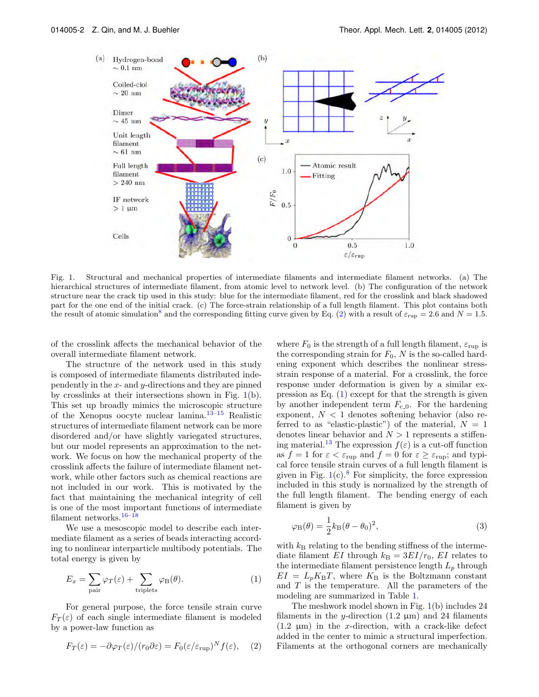

<span id="page-1-0"></span>Fig. 1. Structural and mechanical properties of intermediate filaments and intermediate filament networks. (a) The hierarchical structures of intermediate filament, from atomic level to network level. (b) The configuration of the network structure near the crack tip used in this study: blue for the intermediate filament, red for the crosslink and black shadowed part for the one end of the initial crack. (c) The force-strain relationship of a full length filament. This plot contains both the result of atomic simulation<sup>[8](#page-4-6)</sup> and the corresponding fitting curve given by Eq. [\(2\)](#page-1-1) with a result of  $\varepsilon_{\text{rup}} = 2.6$  and  $N = 1.5$ .

of the crosslink affects the mechanical behavior of the overall intermediate filament network.

The structure of the network used in this study is composed of intermediate filaments distributed independently in the x- and y-directions and they are pinned by crosslinks at their intersections shown in Fig. [1\(](#page-1-0)b). This set up broadly mimics the microscopic structure of the Xenopus oocyte nuclear lamina.[13–](#page-4-12)[15](#page-4-13) Realistic structures of intermediate filament network can be more disordered and/or have slightly variegated structures, but our model represents an approximation to the network. We focus on how the mechanical property of the crosslink affects the failure of intermediate filament network, while other factors such as chemical reactions are not included in our work. This is motivated by the fact that maintaining the mechanical integrity of cell is one of the most important functions of intermediate filament networks.  $^{16-18}$  $^{16-18}$  $^{16-18}$ 

We use a mesoscopic model to describe each intermediate filament as a series of beads interacting according to nonlinear interparticle multibody potentials. The total energy is given by

<span id="page-1-2"></span>
$$
E_x = \sum_{\text{pair}} \varphi_T(\varepsilon) + \sum_{\text{triplets}} \varphi(\theta). \tag{1}
$$

For general purpose, the force tensile strain curve  $F_T(\varepsilon)$  of each single intermediate filament is modeled by a power-law function as

<span id="page-1-1"></span>
$$
F_T(\varepsilon) = -\partial \varphi_T(\varepsilon) / (r_0 \partial \varepsilon) = F_0(\varepsilon / \varepsilon_{\text{rup}})^N f(\varepsilon), \quad (2)
$$

where  $F_0$  is the strength of a full length filament,  $\varepsilon_{\text{rup}}$  is the corresponding strain for  $F_0$ , N is the so-called hardening exponent which describes the nonlinear stressstrain response of a material. For a crosslink, the force response under deformation is given by a similar expression as Eq.  $(1)$  except for that the strength is given by another independent term  $F_{c,0}$ . For the hardening exponent,  $N < 1$  denotes softening behavior (also referred to as "elastic-plastic") of the material,  $N = 1$ denotes linear behavior and  $N > 1$  represents a stiffen-ing material.<sup>[13](#page-4-12)</sup> The expression  $f(\varepsilon)$  is a cut-off function as  $f = 1$  for  $\varepsilon < \varepsilon_{\text{rup}}$  and  $f = 0$  for  $\varepsilon \geq \varepsilon_{\text{rup}}$ ; and typical force tensile strain curves of a full length filament is given in Fig.  $1(c)$  $1(c)$ .<sup>[8](#page-4-6)</sup> For simplicity, the force expression included in this study is normalized by the strength of the full length filament. The bending energy of each filament is given by

$$
\varphi_{\mathcal{B}}(\theta) = \frac{1}{2}k_{\mathcal{B}}(\theta - \theta_0)^2,
$$
\n(3)

with  $k_B$  relating to the bending stiffness of the intermediate filament EI through  $k_B = 3EI/r_0$ , EI relates to the intermediate filament persistence length  $L_p$  through  $EI = L_p K_B T$ , where  $K_B$  is the Boltzmann constant and  $T$  is the temperature. All the parameters of the modeling are summarized in Table [1.](#page-2-0)

The meshwork model shown in Fig. [1\(](#page-1-0)b) includes 24 filaments in the y-direction  $(1.2 \mu m)$  and 24 filaments  $(1.2 \mu m)$  in the x-direction, with a crack-like defect added in the center to mimic a structural imperfection. Filaments at the orthogonal corners are mechanically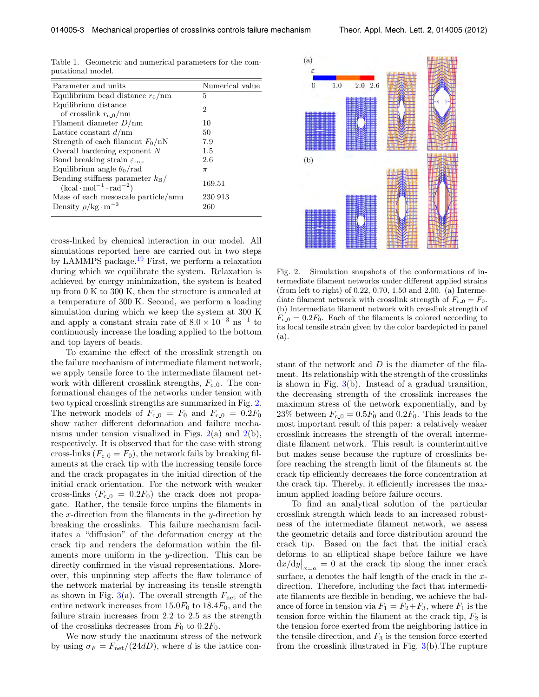<span id="page-2-0"></span>

|                   |  | Table 1. Geometric and numerical parameters for the com- |  |  |
|-------------------|--|----------------------------------------------------------|--|--|
| putational model. |  |                                                          |  |  |

| Parameter and units                                         | Numerical value |  |  |
|-------------------------------------------------------------|-----------------|--|--|
| Equilibrium bead distance $r_0$ /nm                         | 5               |  |  |
| Equilibrium distance                                        |                 |  |  |
| of crosslink $r_{c,0}/\text{nm}$                            | 2               |  |  |
| Filament diameter $D/nm$                                    | 10              |  |  |
| Lattice constant $d/nm$                                     | 50              |  |  |
| Strength of each filament $F_0/nN$                          | 7.9             |  |  |
| Overall hardening exponent $N$                              | 1.5             |  |  |
| Bond breaking strain $\varepsilon_{\text{rup}}$             | 2.6             |  |  |
| Equilibrium angle $\theta_0$ /rad                           | $\pi$           |  |  |
| Bending stiffness parameter $k_B/$                          | 169.51          |  |  |
| $(\text{kcal} \cdot \text{mol}^{-1} \cdot \text{rad}^{-2})$ |                 |  |  |
| Mass of each mesoscale particle/amu                         | 230 913         |  |  |
| Density $\rho$ /kg·m <sup>-3</sup>                          | 260             |  |  |

cross-linked by chemical interaction in our model. All simulations reported here are carried out in two steps by LAMMPS package.[19](#page-4-16) First, we perform a relaxation during which we equilibrate the system. Relaxation is achieved by energy minimization, the system is heated up from 0 K to 300 K, then the structure is annealed at a temperature of 300 K. Second, we perform a loading simulation during which we keep the system at 300 K and apply a constant strain rate of  $8.0 \times 10^{-3}$  ns<sup>-1</sup> to continuously increase the loading applied to the bottom and top layers of beads.

To examine the effect of the crosslink strength on the failure mechanism of intermediate filament network, we apply tensile force to the intermediate filament network with different crosslink strengths,  $F_{c,0}$ . The conformational changes of the networks under tension with two typical crosslink strengths are summarized in Fig. [2.](#page-2-1) The network models of  $F_{c,0} = F_0$  and  $F_{c,0} = 0.2F_0$ show rather different deformation and failure mechanisms under tension visualized in Figs.  $2(a)$  $2(a)$  and  $2(b)$ , respectively. It is observed that for the case with strong cross-links  $(F_{c,0} = F_0)$ , the network fails by breaking filaments at the crack tip with the increasing tensile force and the crack propagates in the initial direction of the initial crack orientation. For the network with weaker cross-links  $(F_{c,0} = 0.2F_0)$  the crack does not propagate. Rather, the tensile force unpins the filaments in the x-direction from the filaments in the y-direction by breaking the crosslinks. This failure mechanism facilitates a "diffusion" of the deformation energy at the crack tip and renders the deformation within the filaments more uniform in the y-direction. This can be directly confirmed in the visual representations. Moreover, this unpinning step affects the flaw tolerance of the network material by increasing its tensile strength as shown in Fig.  $3(a)$  $3(a)$ . The overall strength  $F_{\text{net}}$  of the entire network increases from  $15.0F_0$  to  $18.4F_0$ , and the failure strain increases from 2.2 to 2.5 as the strength of the crosslinks decreases from  $F_0$  to  $0.2F_0$ .

We now study the maximum stress of the network by using  $\sigma_F = F_{\text{net}}/(24dD)$ , where d is the lattice con-



<span id="page-2-1"></span>Fig. 2. Simulation snapshots of the conformations of intermediate filament networks under different applied strains (from left to right) of 0.22, 0.70, 1.50 and 2.00. (a) Intermediate filament network with crosslink strength of  $F_{c,0} = F_0$ . (b) Intermediate filament network with crosslink strength of  $F_{c,0} = 0.2F_0$ . Each of the filaments is colored according to its local tensile strain given by the color bardepicted in panel (a).

stant of the network and  $D$  is the diameter of the filament. Its relationship with the strength of the crosslinks is shown in Fig.  $3(b)$  $3(b)$ . Instead of a gradual transition, the decreasing strength of the crosslink increases the maximum stress of the network exponentially, and by 23% between  $F_{c,0} = 0.5F_0$  and 0.2 $F_0$ . This leads to the most important result of this paper: a relatively weaker crosslink increases the strength of the overall intermediate filament network. This result is counterintuitive but makes sense because the rupture of crosslinks before reaching the strength limit of the filaments at the crack tip efficiently decreases the force concentration at the crack tip. Thereby, it efficiently increases the maximum applied loading before failure occurs.

To find an analytical solution of the particular crosslink strength which leads to an increased robustness of the intermediate filament network, we assess the geometric details and force distribution around the crack tip. Based on the fact that the initial crack deforms to an elliptical shape before failure we have  $dx/dy|_{x=a} = 0$  at the crack tip along the inner crack surface, a denotes the half length of the crack in the  $x$ direction. Therefore, including the fact that intermediate filaments are flexible in bending, we achieve the balance of force in tension via  $F_1 = F_2 + F_3$ , where  $F_1$  is the tension force within the filament at the crack tip,  $F_2$  is the tension force exerted from the neighboring lattice in the tensile direction, and  $F_3$  is the tension force exerted from the crosslink illustrated in Fig.  $3(b)$  $3(b)$ . The rupture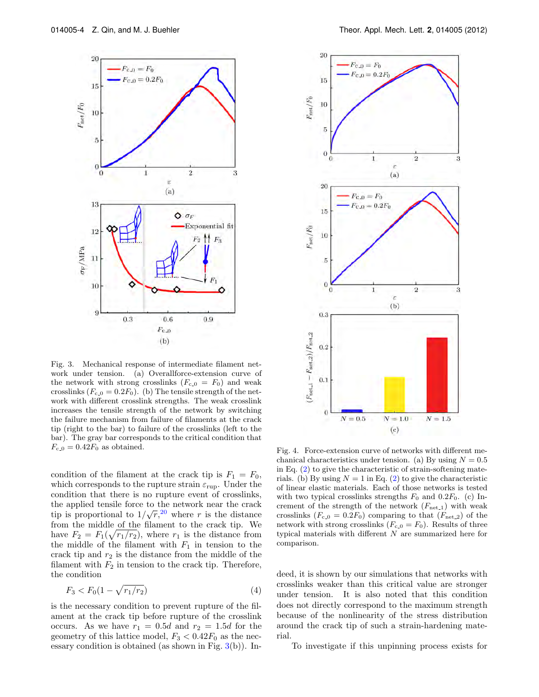

<span id="page-3-0"></span>Fig. 3. Mechanical response of intermediate filament network under tension. (a) Overallforce-extension curve of the network with strong crosslinks  $(F_{c,0} = F_0)$  and weak crosslinks  $(F_{c,0} = 0.2F_0)$ . (b) The tensile strength of the network with different crosslink strengths. The weak crosslink increases the tensile strength of the network by switching the failure mechanism from failure of filaments at the crack tip (right to the bar) to failure of the crosslinks (left to the bar). The gray bar corresponds to the critical condition that  $F_{c,0} = 0.42F_0$  as obtained.

condition of the filament at the crack tip is  $F_1 = F_0$ , which corresponds to the rupture strain  $\varepsilon_{\text{run}}$ . Under the condition that there is no rupture event of crosslinks, the applied tensile force to the network near the crack tip is proportional to  $1/\sqrt{r}$ , <sup>[20](#page-4-17)</sup> where r is the distance from the middle of the filament to the crack tip. We have  $F_2 = F_1(\sqrt{r_1/r_2})$ , where  $r_1$  is the distance from the middle of the filament with  $F_1$  in tension to the crack tip and  $r_2$  is the distance from the middle of the filament with  $F_2$  in tension to the crack tip. Therefore, the condition

$$
F_3 < F_0(1 - \sqrt{r_1/r_2}) \tag{4}
$$

is the necessary condition to prevent rupture of the filament at the crack tip before rupture of the crosslink occurs. As we have  $r_1 = 0.5d$  and  $r_2 = 1.5d$  for the geometry of this lattice model,  $F_3 < 0.42F_0$  as the necessary condition is obtained (as shown in Fig.  $3(b)$  $3(b)$ ). In-



<span id="page-3-1"></span>Fig. 4. Force-extension curve of networks with different mechanical characteristics under tension. (a) By using  $N = 0.5$ in Eq.  $(2)$  to give the characteristic of strain-softening materials. (b) By using  $N = 1$  in Eq. [\(2\)](#page-1-1) to give the characteristic of linear elastic materials. Each of those networks is tested with two typical crosslinks strengths  $F_0$  and 0.2 $F_0$ . (c) Increment of the strength of the network  $(F_{\text{net-1}})$  with weak crosslinks  $(F_{c,0} = 0.2F_0)$  comparing to that  $(F_{net,2})$  of the network with strong crosslinks  $(F_{c,0} = F_0)$ . Results of three typical materials with different  $N$  are summarized here for comparison.

deed, it is shown by our simulations that networks with crosslinks weaker than this critical value are stronger under tension. It is also noted that this condition does not directly correspond to the maximum strength because of the nonlinearity of the stress distribution around the crack tip of such a strain-hardening material.

To investigate if this unpinning process exists for